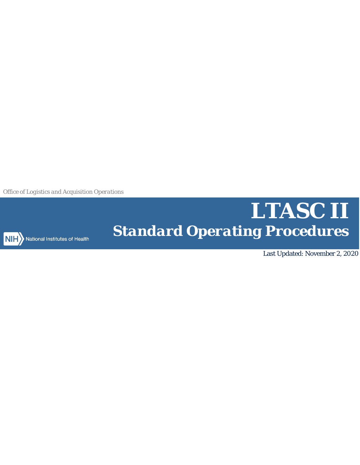*Office of Logistics and Acquisition Operations*



NIH > National Institutes of Health

# *LTASC II Standard Operating Procedures*

Last Updated: November 2, 2020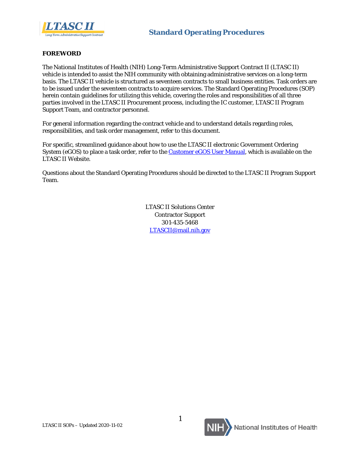

#### **FOREWORD**

The National Institutes of Health (NIH) Long-Term Administrative Support Contract II (LTASC II) vehicle is intended to assist the NIH community with obtaining administrative services on a long-term basis. The LTASC II vehicle is structured as seventeen contracts to small business entities. Task orders are to be issued under the seventeen contracts to acquire services. The Standard Operating Procedures (SOP) herein contain guidelines for utilizing this vehicle, covering the roles and responsibilities of all three parties involved in the LTASC II Procurement process, including the IC customer, LTASC II Program Support Team, and contractor personnel.

For general information regarding the contract vehicle and to understand details regarding roles, responsibilities, and task order management, refer to this document.

For specific, streamlined guidance about how to use the LTASC II electronic Government Ordering System (eGOS) to place a task order, refer to the **Customer eGOS User Manual**, which is available on the LTASC II Website.

Questions about the Standard Operating Procedures should be directed to the LTASC II Program Support Team.

> LTASC II Solutions Center Contractor Support 301-435-5468 [LTASCII@mail.nih.gov](mailto:LTASCII@mail.nih.gov)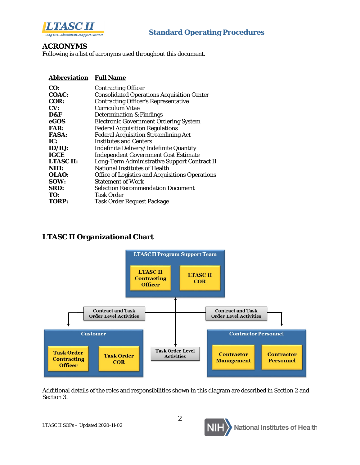

#### **ACRONYMS**

Following is a list of acronyms used throughout this document.

#### **Abbreviation Full Name**

| CO:              | <b>Contracting Officer</b>                             |
|------------------|--------------------------------------------------------|
| COAC:            | <b>Consolidated Operations Acquisition Center</b>      |
| COR:             | <b>Contracting Officer's Representative</b>            |
| CV:              | Curriculum Vitae                                       |
| D&F              | <b>Determination &amp; Findings</b>                    |
| eGOS             | <b>Electronic Government Ordering System</b>           |
| <b>FAR:</b>      | <b>Federal Acquisition Regulations</b>                 |
| <b>FASA:</b>     | <b>Federal Acquisition Streamlining Act</b>            |
| IC:              | <b>Institutes and Centers</b>                          |
| ID/IQ:           | Indefinite Delivery/Indefinite Quantity                |
| <b>IGCE</b>      | <b>Independent Government Cost Estimate</b>            |
| <b>LTASC II:</b> | Long-Term Administrative Support Contract II           |
| NIH:             | National Institutes of Health                          |
| OLAO:            | <b>Office of Logistics and Acquisitions Operations</b> |
| SOW:             | <b>Statement of Work</b>                               |
| SRD:             | <b>Selection Recommendation Document</b>               |
| TO:              | Task Order                                             |
| <b>TORP:</b>     | <b>Task Order Request Package</b>                      |
|                  |                                                        |

### **LTASC II Organizational Chart**



Additional details of the roles and responsibilities shown in this diagram are described in [Section 2](#page-12-0) and [Section 3.](#page-17-0)

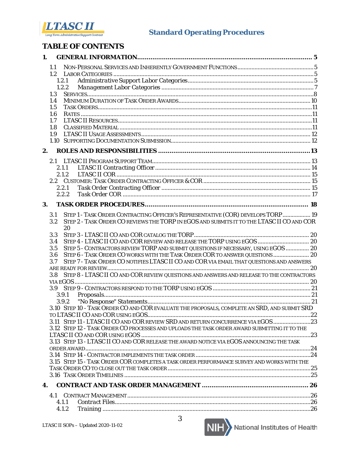

# **TABLE OF CONTENTS**

| 1. |                  |                                                                                              |  |
|----|------------------|----------------------------------------------------------------------------------------------|--|
|    | 1.1              |                                                                                              |  |
|    |                  |                                                                                              |  |
|    |                  | 1.2.1                                                                                        |  |
|    |                  | 1.2.2                                                                                        |  |
|    | 1.3              |                                                                                              |  |
|    | 1.4              |                                                                                              |  |
|    | 1.5              |                                                                                              |  |
|    | 1.6              |                                                                                              |  |
|    | 1.7              |                                                                                              |  |
|    | 1.8              |                                                                                              |  |
|    | 1.9              |                                                                                              |  |
|    |                  |                                                                                              |  |
| 2. |                  |                                                                                              |  |
|    |                  |                                                                                              |  |
|    |                  | 2.1.1                                                                                        |  |
|    |                  | 2.1.2                                                                                        |  |
|    |                  |                                                                                              |  |
|    |                  | 2.2.1                                                                                        |  |
|    |                  | 2.2.2                                                                                        |  |
| 3. |                  |                                                                                              |  |
|    |                  |                                                                                              |  |
|    | 3.1              | STEP 1 - TASK ORDER CONTRACTING OFFICER'S REPRESENTATIVE (COR) DEVELOPS TORP 19              |  |
|    | 3.2              | STEP 2 - TASK ORDER CO REVIEWS THE TORP IN EGOS AND SUBMITS IT TO THE LTASC II CO AND COR    |  |
|    | 3.3              | 20                                                                                           |  |
|    | 3.4              | STEP 4 - LTASC II CO AND COR REVIEW AND RELEASE THE TORP USING EGOS  20                      |  |
|    | 3.5              | STEP 5 - CONTRACTORS REVIEW TORP AND SUBMIT QUESTIONS IF NECESSARY, USING EGOS  20           |  |
|    | 3.6              | STEP 6 - TASK ORDER CO WORKS WITH THE TASK ORDER COR TO ANSWER QUESTIONS  20                 |  |
|    | 3.7              | STEP 7 - TASK ORDER CO NOTIFIES LTASC II CO AND COR VIA EMAIL THAT QUESTIONS AND ANSWERS     |  |
|    |                  |                                                                                              |  |
|    | 3.8 <sup>°</sup> | STEP 8 - LTASC II CO AND COR REVIEW QUESTIONS AND ANSWERS AND RELEASE TO THE CONTRACTORS     |  |
|    |                  |                                                                                              |  |
|    |                  |                                                                                              |  |
|    |                  | 3.9.1                                                                                        |  |
|    |                  |                                                                                              |  |
|    |                  | 3.10 STEP 10 - TASK ORDER CO AND COR EVALUATE THE PROPOSALS, COMPLETE AN SRD, AND SUBMIT SRD |  |
|    |                  |                                                                                              |  |
|    |                  | 3.11 STEP 11 - LTASC II CO AND COR REVIEW SRD AND RETURN CONCURRENCE VIA EGOS 23             |  |
|    |                  | 3.12 STEP 12 - TASK ORDER CO PROCESSES AND UPLOADS THE TASK ORDER AWARD SUBMITTING IT TO THE |  |
|    |                  |                                                                                              |  |
|    |                  | 3.13 STEP 13 - LTASC II CO AND COR RELEASE THE AWARD NOTICE VIA EGOS ANNOUNCING THE TASK     |  |
|    |                  |                                                                                              |  |
|    |                  |                                                                                              |  |
|    |                  | 3.15 STEP 15 - TASK ORDER COR COMPLETES A TASK ORDER PERFORMANCE SURVEY AND WORKS WITH THE   |  |
|    |                  |                                                                                              |  |
|    |                  |                                                                                              |  |
| 4. |                  |                                                                                              |  |
|    |                  |                                                                                              |  |
|    |                  | 4.1.1                                                                                        |  |
|    |                  | 4.1.2                                                                                        |  |
|    |                  |                                                                                              |  |

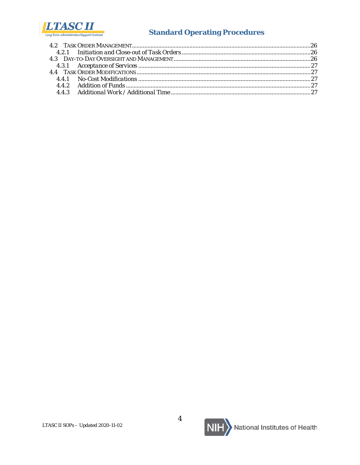

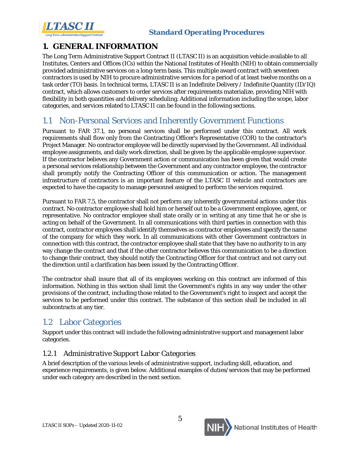

# <span id="page-5-0"></span>**1. GENERAL INFORMATION**

The Long Term Administrative Support Contract II (LTASC II) is an acquisition vehicle available to all Institutes, Centers and Offices (ICs) within the National Institutes of Health (NIH) to obtain commercially provided administrative services on a long-term basis. This multiple award contract with seventeen contractors is used by NIH to procure administrative services for a period of at least twelve months on a task order (TO) basis. In technical terms, LTASC II is an Indefinite Delivery / Indefinite Quantity (ID/IQ) contract, which allows customers to order services after requirements materialize, providing NIH with flexibility in both quantities and delivery scheduling. Additional information including the scope, labor categories, and services related to LTASC II can be found in the following sections.

# <span id="page-5-1"></span>1.1 Non-Personal Services and Inherently Government Functions

Pursuant to FAR 37.1, no personal services shall be performed under this contract. All work requirements shall flow only from the Contracting Officer's Representative (COR) to the contractor's Project Manager. No contractor employee will be directly supervised by the Government. All individual employee assignments, and daily work direction, shall be given by the applicable employee supervisor. If the contractor believes any Government action or communication has been given that would create a personal services relationship between the Government and any contractor employee, the contractor shall promptly notify the Contracting Officer of this communication or action. The management infrastructure of contractors is an important feature of the LTASC II vehicle and contractors are expected to have the capacity to manage personnel assigned to perform the services required.

Pursuant to FAR 7.5, the contractor shall not perform any inherently governmental actions under this contract. No contractor employee shall hold him or herself out to be a Government employee, agent, or representative. No contractor employee shall state orally or in writing at any time that he or she is acting on behalf of the Government. In all communications with third parties in connection with this contract, contractor employees shall identify themselves as contractor employees and specify the name of the company for which they work. In all communications with other Government contractors in connection with this contract, the contractor employee shall state that they have no authority to in any way change the contract and that if the other contractor believes this communication to be a direction to change their contract, they should notify the Contracting Officer for that contract and not carry out the direction until a clarification has been issued by the Contracting Officer.

The contractor shall insure that all of its employees working on this contract are informed of this information. Nothing in this section shall limit the Government's rights in any way under the other provisions of the contract, including those related to the Government's right to inspect and accept the services to be performed under this contract. The substance of this section shall be included in all subcontracts at any tier.

# <span id="page-5-2"></span>1.2 Labor Categories

Support under this contract will include the following administrative support and management labor categories.

### <span id="page-5-3"></span>*1.2.1 Administrative Support Labor Categories*

A brief description of the various levels of administrative support, including skill, education, and experience requirements, is given below. Additional examples of duties/services that may be performed under each category are described in the next section.

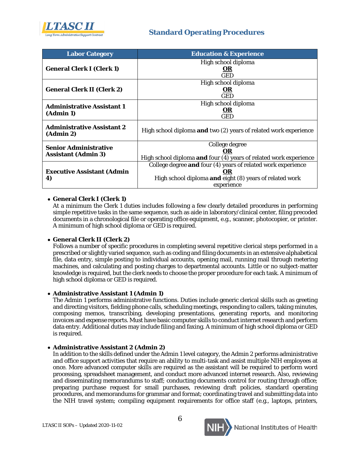

| <b>Labor Category</b>                                      | <b>Education &amp; Experience</b>                                 |
|------------------------------------------------------------|-------------------------------------------------------------------|
|                                                            | High school diploma                                               |
| <b>General Clerk I (Clerk 1)</b>                           | 0R                                                                |
|                                                            | GED                                                               |
|                                                            | High school diploma                                               |
| <b>General Clerk II (Clerk 2)</b>                          | 0 <sub>R</sub>                                                    |
|                                                            | GED                                                               |
| <b>Administrative Assistant 1</b>                          | High school diploma                                               |
| (Admin 1)                                                  | 0 <sub>R</sub>                                                    |
|                                                            | GED                                                               |
| <b>Administrative Assistant 2</b><br>(Admin 2)             | High school diploma and two (2) years of related work experience  |
|                                                            | College degree                                                    |
| <b>Senior Administrative</b><br><b>Assistant (Admin 3)</b> | OR                                                                |
|                                                            | High school diploma and four (4) years of related work experience |
|                                                            | College degree and four (4) years of related work experience      |
| <b>Executive Assistant (Admin</b>                          | OR                                                                |
| 4)                                                         | High school diploma and eight (8) years of related work           |
|                                                            | experience                                                        |

#### • **General Clerk I (Clerk 1)**

At a minimum the Clerk 1 duties includes following a few clearly detailed procedures in performing simple repetitive tasks in the same sequence, such as aide in laboratory/clinical center, filing precoded documents in a chronological file or operating office equipment, e.g., scanner, photocopier, or printer. A minimum of high school diploma or GED is required.

#### • **General Clerk II (Clerk 2)**

Follows a number of specific procedures in completing several repetitive clerical steps performed in a prescribed or slightly varied sequence, such as coding and filing documents in an extensive alphabetical file, data entry, simple posting to individual accounts, opening mail, running mail through metering machines, and calculating and posting charges to departmental accounts. Little or no subject-matter knowledge is required, but the clerk needs to choose the proper procedure for each task. A minimum of high school diploma or GED is required.

#### • **Administrative Assistant 1 (Admin 1)**

The Admin 1 performs administrative functions. Duties include generic clerical skills such as greeting and directing visitors, fielding phone calls, scheduling meetings, responding to callers, taking minutes, composing memos, transcribing, developing presentations, generating reports, and monitoring invoices and expense reports. Must have basic computer skills to conduct internet research and perform data entry. Additional duties may include filing and faxing. A minimum of high school diploma or GED is required.

#### • **Administrative Assistant 2 (Admin 2)**

In addition to the skills defined under the Admin 1 level category, the Admin 2 performs administrative and office support activities that require an ability to multi-task and assist multiple NIH employees at once. More advanced computer skills are required as the assistant will be required to perform word processing, spreadsheet management, and conduct more advanced internet research. Also, reviewing and disseminating memorandums to staff; conducting documents control for routing through office; preparing purchase request for small purchases, reviewing draft policies, standard operating procedures, and memorandums for grammar and format; coordinating travel and submitting data into the NIH travel system; compiling equipment requirements for office staff (e.g., laptops, printers,

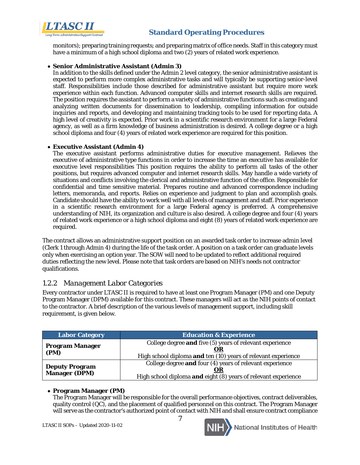

monitors); preparing training requests; and preparing matrix of office needs. Staff in this category must have a minimum of a high school diploma and two (2) years of related work experience.

#### • **Senior Administrative Assistant (Admin 3)**

In addition to the skills defined under the Admin 2 level category, the senior administrative assistant is expected to perform more complex administrative tasks and will typically be supporting senior-level staff. Responsibilities include those described for administrative assistant but require more work experience within each function. Advanced computer skills and internet research skills are required. The position requires the assistant to perform a variety of administrative functions such as creating and analyzing written documents for dissemination to leadership, compiling information for outside inquiries and reports, and developing and maintaining tracking tools to be used for reporting data. A high level of creativity is expected. Prior work in a scientific research environment for a large Federal agency, as well as a firm knowledge of business administration is desired. A college degree or a high school diploma and four (4) years of related work experience are required for this position.

#### • **Executive Assistant (Admin 4)**

The executive assistant performs administrative duties for executive management. Relieves the executive of administrative type functions in order to increase the time an executive has available for executive level responsibilities This position requires the ability to perform all tasks of the other positions, but requires advanced computer and internet research skills. May handle a wide variety of situations and conflicts involving the clerical and administrative function of the office. Responsible for confidential and time sensitive material. Prepares routine and advanced correspondence including letters, memoranda, and reports. Relies on experience and judgment to plan and accomplish goals. Candidate should have the ability to work well with all levels of management and staff. Prior experience in a scientific research environment for a large Federal agency is preferred. A comprehensive understanding of NIH, its organization and culture is also desired. A college degree and four (4) years of related work experience or a high school diploma and eight (8) years of related work experience are required.

The contract allows an administrative support position on an awarded task order to increase admin level (Clerk 1 through Admin 4) during the life of the task order. A position on a task order can graduate levels only when exercising an option year. The SOW will need to be updated to reflect additional required duties reflecting the new level. Please note that task orders are based on NIH's needs not contractor qualifications.

#### <span id="page-7-0"></span>*1.2.2 Management Labor Categories*

Every contractor under LTASC II is required to have at least one Program Manager (PM) and one Deputy Program Manager (DPM) available for this contract. These managers will act as the NIH points of contact to the contractor. A brief description of the various levels of management support, including skill requirement, is given below.

| <b>Labor Category</b>  | <b>Education &amp; Experience</b>                                    |
|------------------------|----------------------------------------------------------------------|
| <b>Program Manager</b> | College degree and five (5) years of relevant experience<br>OR       |
| (PM)                   | High school diploma and ten (10) years of relevant experience        |
| <b>Deputy Program</b>  | College degree and four (4) years of relevant experience             |
| <b>Manager (DPM)</b>   | OR<br>High school diploma and eight (8) years of relevant experience |

#### • **Program Manager (PM)**

The Program Manager will be responsible for the overall performance objectives, contract deliverables, quality control (QC), and the placement of qualified personnel on this contract. The Program Manager will serve as the contractor's authorized point of contact with NIH and shall ensure contract compliance

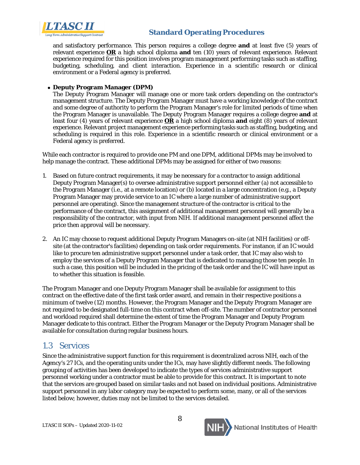

and satisfactory performance. This person requires a college degree **and** at least five (5) years of relevant experience **OR** a high school diploma **and** ten (10) years of relevant experience. Relevant experience required for this position involves program management performing tasks such as staffing, budgeting, scheduling, and client interaction. Experience in a scientific research or clinical environment or a Federal agency is preferred.

#### • **Deputy Program Manager (DPM)**

The Deputy Program Manager will manage one or more task orders depending on the contractor's management structure. The Deputy Program Manager must have a working knowledge of the contract and some degree of authority to perform the Program Manager's role for limited periods of time when the Program Manager is unavailable. The Deputy Program Manager requires a college degree **and** at least four (4) years of relevant experience **OR** a high school diploma **and** eight (8) years of relevant experience. Relevant project management experience performing tasks such as staffing, budgeting, and scheduling is required in this role. Experience in a scientific research or clinical environment or a Federal agency is preferred.

While each contractor is required to provide one PM and one DPM, additional DPMs may be involved to help manage the contract. These additional DPMs may be assigned for either of two reasons:

- 1. Based on future contract requirements, it may be necessary for a contractor to assign additional Deputy Program Manager(s) to oversee administrative support personnel either (a) not accessible to the Program Manager (i.e., at a remote location) or (b) located in a large concentration (e.g., a Deputy Program Manager may provide service to an IC where a large number of administrative support personnel are operating). Since the management structure of the contractor is critical to the performance of the contract, this assignment of additional management personnel will generally be a responsibility of the contractor, with input from NIH. If additional management personnel affect the price then approval will be necessary.
- 2. An IC may choose to request additional Deputy Program Managers on-site (at NIH facilities) or offsite (at the contractor's facilities) depending on task order requirements. For instance, if an IC would like to procure ten administrative support personnel under a task order, that IC may also wish to employ the services of a Deputy Program Manager that is dedicated to managing those ten people. In such a case, this position will be included in the pricing of the task order and the IC will have input as to whether this situation is feasible.

The Program Manager and one Deputy Program Manager shall be available for assignment to this contract on the effective date of the first task order award, and remain in their respective positions a minimum of twelve (12) months. However, the Program Manager and the Deputy Program Manager are not required to be designated full-time on this contract when off-site. The number of contractor personnel and workload required shall determine the extent of time the Program Manager and Deputy Program Manager dedicate to this contract. Either the Program Manager or the Deputy Program Manager shall be available for consultation during regular business hours.

# <span id="page-8-0"></span>1.3 Services

Since the administrative support function for this requirement is decentralized across NIH, each of the Agency's 27 ICs, and the operating units under the ICs, may have slightly different needs. The following grouping of activities has been developed to indicate the types of services administrative support personnel working under a contractor must be able to provide for this contract. It is important to note that the services are grouped based on similar tasks and not based on individual positions. Administrative support personnel in any labor category may be expected to perform some, many, or all of the services listed below; however, duties may not be limited to the services detailed.

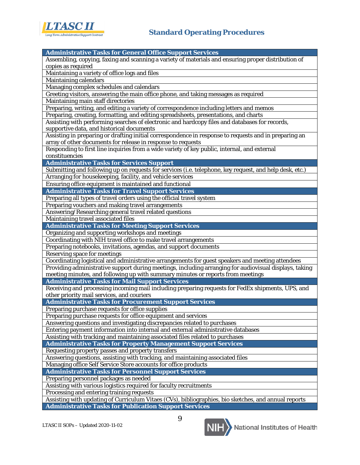

| <b>Administrative Tasks for General Office Support Services</b>                                         |
|---------------------------------------------------------------------------------------------------------|
| Assembling, copying, faxing and scanning a variety of materials and ensuring proper distribution of     |
|                                                                                                         |
| copies as required                                                                                      |
| Maintaining a variety of office logs and files                                                          |
| Maintaining calendars                                                                                   |
| Managing complex schedules and calendars                                                                |
| Greeting visitors, answering the main office phone, and taking messages as required                     |
| Maintaining main staff directories                                                                      |
| Preparing, writing, and editing a variety of correspondence including letters and memos                 |
| Preparing, creating, formatting, and editing spreadsheets, presentations, and charts                    |
| Assisting with performing searches of electronic and hardcopy files and databases for records,          |
| supportive data, and historical documents                                                               |
| Assisting in preparing or drafting initial correspondence in response to requests and in preparing an   |
| array of other documents for release in response to requests                                            |
| Responding to first line inquiries from a wide variety of key public, internal, and external            |
| constituencies                                                                                          |
| <b>Administrative Tasks for Services Support</b>                                                        |
| Submitting and following up on requests for services (i.e. telephone, key request, and help desk, etc.) |
| Arranging for housekeeping, facility, and vehicle services                                              |
| Ensuring office equipment is maintained and functional                                                  |
|                                                                                                         |
| <b>Administrative Tasks for Travel Support Services</b>                                                 |
| Preparing all types of travel orders using the official travel system                                   |
| Preparing vouchers and making travel arrangements                                                       |
| Answering/Researching general travel related questions                                                  |
| Maintaining travel associated files                                                                     |
| <b>Administrative Tasks for Meeting Support Services</b>                                                |
| Organizing and supporting workshops and meetings                                                        |
| Coordinating with NIH travel office to make travel arrangements                                         |
| Preparing notebooks, invitations, agendas, and support documents                                        |
| <b>Reserving space for meetings</b>                                                                     |
| Coordinating logistical and administrative arrangements for guest speakers and meeting attendees        |
| Providing administrative support during meetings, including arranging for audiovisual displays, taking  |
| meeting minutes, and following up with summary minutes or reports from meetings                         |
| <b>Administrative Tasks for Mail Support Services</b>                                                   |
| Receiving and processing incoming mail including preparing requests for FedEx shipments, UPS, and       |
| other priority mail services, and couriers                                                              |
| <b>Administrative Tasks for Procurement Support Services</b>                                            |
| Preparing purchase requests for office supplies                                                         |
|                                                                                                         |
| Preparing purchase requests for office equipment and services                                           |
| Answering questions and investigating discrepancies related to purchases                                |
| Entering payment information into internal and external administrative databases                        |
| Assisting with tracking and maintaining associated files related to purchases                           |
| <b>Administrative Tasks for Property Management Support Services</b>                                    |
| Requesting property passes and property transfers                                                       |
| Answering questions, assisting with tracking, and maintaining associated files                          |
| Managing office Self Service Store accounts for office products                                         |
| <b>Administrative Tasks for Personnel Support Services</b>                                              |
| Preparing personnel packages as needed                                                                  |
| Assisting with various logistics required for faculty recruitments                                      |
| Processing and entering training requests                                                               |
| Assisting with updating of Curriculum Vitaes (CVs), bibliographies, bio sketches, and annual reports    |
| <b>Administrative Tasks for Publication Support Services</b>                                            |

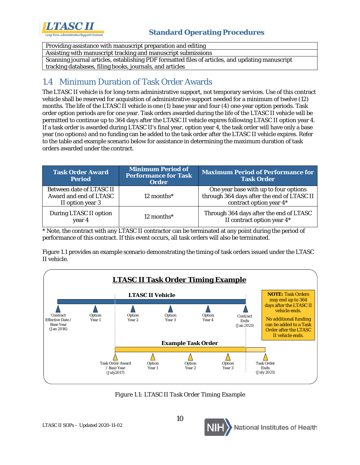

Providing assistance with manuscript preparation and editing

Assisting with manuscript tracking and manuscript submissions

Scanning journal articles, establishing PDF formatted files of articles, and updating manuscript tracking databases, filing books, journals, and articles

# <span id="page-10-0"></span>1.4 Minimum Duration of Task Order Awards

The LTASC II vehicle is for long-term administrative support, not temporary services. Use of this contract vehicle shall be reserved for acquisition of administrative support needed for a minimum of twelve (12) months. The life of the LTASC II vehicle is one (1) base year and four (4) one-year option periods. Task order option periods are for one year. Task orders awarded during the life of the LTASC II vehicle will be permitted to continue up to 364 days after the LTASC II vehicle expires following LTASC II option year 4. If a task order is awarded during LTASC II's final year, option year 4, the task order will have only a base year (no options) and no funding can be added to the task order after the LTASC II vehicle expires. Refer to the table and example scenario below for assistance in determining the maximum duration of task orders awarded under the contract.

| <b>Task Order Award</b><br><b>Period</b>                               | <b>Minimum Period of</b><br><b>Performance for Task</b><br><b>Order</b> | <b>Maximum Period of Performance for</b><br><b>Task Order</b>                                                  |
|------------------------------------------------------------------------|-------------------------------------------------------------------------|----------------------------------------------------------------------------------------------------------------|
| Between date of LTASC II<br>Award and end of LTASC<br>II option year 3 | $12$ months <sup>*</sup>                                                | One year base with up to four options<br>through 364 days after the end of LTASC II<br>contract option year 4* |
| During LTASC II option<br>year 4                                       | $12$ months <sup>*</sup>                                                | Through 364 days after the end of LTASC<br>II contract option year 4*                                          |

\* Note, the contract with any LTASC II contractor can be terminated at any point during the period of performance of this contract. If this event occurs, all task orders will also be terminated.

Figure 1.1 provides an example scenario demonstrating the timing of task orders issued under the LTASC II vehicle.



*Figure 1.1: LTASC II Task Order Timing Example*

10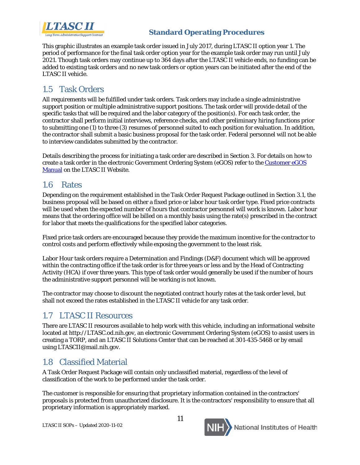

This graphic illustrates an example task order issued in July 2017, during LTASC II option year 1. The period of performance for the final task order option year for the example task order may run until July 2021. Though task orders may continue up to 364 days after the LTASC II vehicle ends, no funding can be added to existing task orders and no new task orders or option years can be initiated after the end of the LTASC II vehicle.

# <span id="page-11-0"></span>1.5 Task Orders

All requirements will be fulfilled under task orders. Task orders may include a single administrative support position or multiple administrative support positions. The task order will provide detail of the specific tasks that will be required and the labor category of the position(s). For each task order, the contractor shall perform initial interviews, reference checks, and other preliminary hiring functions prior to submitting one (1) to three (3) resumes of personnel suited to each position for evaluation. In addition, the contractor shall submit a basic business proposal for the task order. Federal personnel will not be able to interview candidates submitted by the contractor.

Details describing the process for initiating a task order are described in Section 3. For details on how to create a task order in the electronic Government Ordering System (eGOS) refer to th[e Customer eGOS](http://ltasc.od.nih.gov/LTASCII_Customer_eGOS_Manual.pdf)  [Manual](http://ltasc.od.nih.gov/LTASCII_Customer_eGOS_Manual.pdf) on the LTASC II Website.

### <span id="page-11-1"></span>1.6 Rates

Depending on the requirement established in the Task Order Request Package outlined in Section 3.1, the business proposal will be based on either a fixed price or labor hour task order type. Fixed price contracts will be used when the expected number of hours that contractor personnel will work is known. Labor hour means that the ordering office will be billed on a monthly basis using the rate(s) prescribed in the contract for labor that meets the qualifications for the specified labor categories.

Fixed price task orders are encouraged because they provide the maximum incentive for the contractor to control costs and perform effectively while exposing the government to the least risk.

Labor Hour task orders require a Determination and Findings (D&F) document which will be approved within the contracting office if the task order is for three years or less and by the Head of Contracting Activity (HCA) if over three years. This type of task order would generally be used if the number of hours the administrative support personnel will be working is not known.

The contractor may choose to discount the negotiated contract hourly rates at the task order level, but shall not exceed the rates established in the LTASC II vehicle for any task order.

# <span id="page-11-2"></span>1.7 LTASC II Resources

There are LTASC II resources available to help work with this vehicle, including an informational website located at http://LTASC.od.nih.gov, an electronic Government Ordering System (eGOS) to assist users in creating a TORP, and an LTASC II Solutions Center that can be reached at 301-435-5468 or by email using LTASCII@mail.nih.gov.

# <span id="page-11-3"></span>1.8 Classified Material

A Task Order Request Package will contain only unclassified material, regardless of the level of classification of the work to be performed under the task order.

The customer is responsible for ensuring that proprietary information contained in the contractors' proposals is protected from unauthorized disclosure. It is the contractors' responsibility to ensure that all proprietary information is appropriately marked.

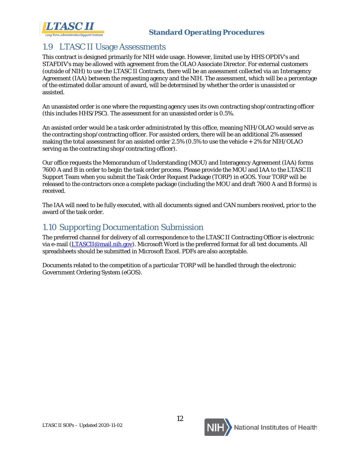

# <span id="page-12-1"></span>1.9 LTASC II Usage Assessments

This contract is designed primarily for NIH wide usage. However, limited use by HHS OPDIV's and STAFDIV's may be allowed with agreement from the OLAO Associate Director. For external customers (outside of NIH) to use the LTASC II Contracts, there will be an assessment collected via an Interagency Agreement (IAA) between the requesting agency and the NIH. The assessment, which will be a percentage of the estimated dollar amount of award, will be determined by whether the order is unassisted or assisted.

An unassisted order is one where the requesting agency uses its own contracting shop/contracting officer (this includes HHS/PSC). The assessment for an unassisted order is 0.5%.

An assisted order would be a task order administrated by this office, meaning NIH/OLAO would serve as the contracting shop/contracting officer. For assisted orders, there will be an additional 2% assessed making the total assessment for an assisted order 2.5% (0.5% to use the vehicle + 2% for NIH/OLAO serving as the contracting shop/contracting officer).

Our office requests the Memorandum of Understanding (MOU) and Interagency Agreement (IAA) forms 7600 A and B in order to begin the task order process. Please provide the MOU and IAA to the LTASC II Support Team when you submit the Task Order Request Package (TORP) in eGOS. Your TORP will be released to the contractors once a complete package (including the MOU and draft 7600 A and B forms) is received.

The IAA will need to be fully executed, with all documents signed and CAN numbers received, prior to the award of the task order.

# <span id="page-12-2"></span>1.10 Supporting Documentation Submission

The preferred channel for delivery of all correspondence to the LTASC II Contracting Officer is electronic via e-mail [\(LTASCII@mail.nih.gov\)](mailto:LTASCII@mail.nih.gov). Microsoft Word is the preferred format for all text documents. All spreadsheets should be submitted in Microsoft Excel. PDFs are also acceptable.

<span id="page-12-0"></span>Documents related to the competition of a particular TORP will be handled through the electronic Government Ordering System (eGOS).

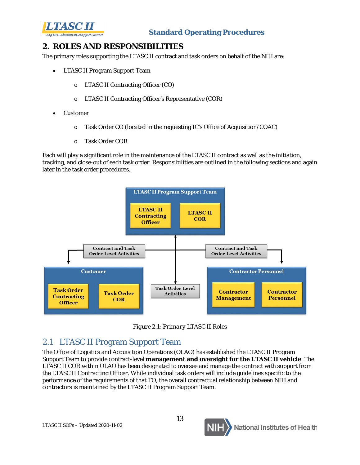

# <span id="page-13-0"></span>**2. ROLES AND RESPONSIBILITIES**

The primary roles supporting the LTASC II contract and task orders on behalf of the NIH are:

- LTASC II Program Support Team
	- o LTASC II Contracting Officer (CO)
	- o LTASC II Contracting Officer's Representative (COR)
- Customer
	- o Task Order CO (located in the requesting IC's Office of Acquisition/COAC)
	- o Task Order COR

Each will play a significant role in the maintenance of the LTASC II contract as well as the initiation, tracking, and close-out of each task order. Responsibilities are outlined in the following sections and again later in the task order procedures.



*Figure 2.1: Primary LTASC II Roles*

# <span id="page-13-1"></span>2.1 LTASC II Program Support Team

The Office of Logistics and Acquisition Operations (OLAO) has established the LTASC II Program Support Team to provide contract-level **management and oversight for the LTASC II vehicle**. The LTASC II COR within OLAO has been designated to oversee and manage the contract with support from the LTASC II Contracting Officer. While individual task orders will include guidelines specific to the performance of the requirements of that TO, the overall contractual relationship between NIH and contractors is maintained by the LTASC II Program Support Team.

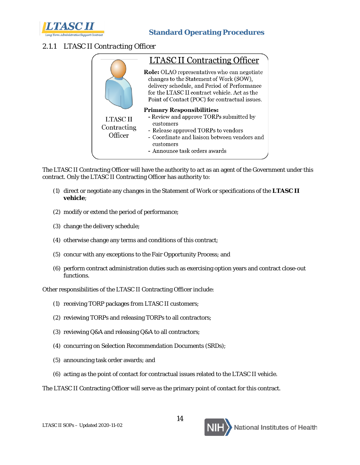

# <span id="page-14-0"></span>*2.1.1 LTASC II Contracting Officer*



The LTASC II Contracting Officer will have the authority to act as an agent of the Government under this contract. Only the LTASC II Contracting Officer has authority to:

- (1) direct or negotiate any changes in the Statement of Work or specifications of the **LTASC II vehicle**;
- (2) modify or extend the period of performance;
- (3) change the delivery schedule;
- (4) otherwise change any terms and conditions of this contract;
- (5) concur with any exceptions to the Fair Opportunity Process; and
- (6) perform contract administration duties such as exercising option years and contract close-out functions.

Other responsibilities of the LTASC II Contracting Officer include:

- (1) receiving TORP packages from LTASC II customers;
- (2) reviewing TORPs and releasing TORPs to all contractors;
- (3) reviewing Q&A and releasing Q&A to all contractors;
- (4) concurring on Selection Recommendation Documents (SRDs);
- (5) announcing task order awards; and
- (6) acting as the point of contact for contractual issues related to the LTASC II vehicle.

The LTASC II Contracting Officer will serve as the primary point of contact for this contract.

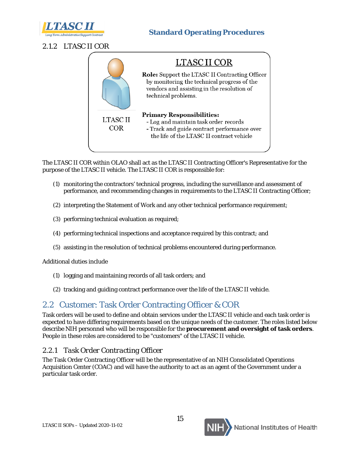

# <span id="page-15-0"></span>*2.1.2 LTASC II COR*



The LTASC II COR within OLAO shall act as the LTASC II Contracting Officer's Representative for the purpose of the LTASC II vehicle. The LTASC II COR is responsible for:

- (1) monitoring the contractors' technical progress, including the surveillance and assessment of performance, and recommending changes in requirements to the LTASC II Contracting Officer;
- (2) interpreting the Statement of Work and any other technical performance requirement;
- (3) performing technical evaluation as required;
- (4) performing technical inspections and acceptance required by this contract; and
- (5) assisting in the resolution of technical problems encountered during performance.

Additional duties include

- (1) logging and maintaining records of all task orders; and
- (2) tracking and guiding contract performance over the life of the LTASC II vehicle.

# <span id="page-15-1"></span>2.2 Customer: Task Order Contracting Officer & COR

Task orders will be used to define and obtain services under the LTASC II vehicle and each task order is expected to have differing requirements based on the unique needs of the customer. The roles listed below describe NIH personnel who will be responsible for the **procurement and oversight of task orders**. People in these roles are considered to be "customers" of the LTASC II vehicle.

### <span id="page-15-2"></span>*2.2.1 Task Order Contracting Officer*

The Task Order Contracting Officer will be the representative of an NIH Consolidated Operations Acquisition Center (COAC) and will have the authority to act as an agent of the Government under a particular task order.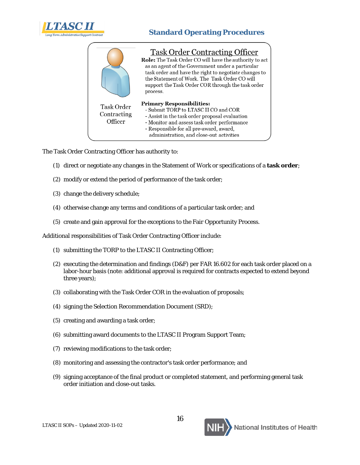

|  |                                      | <b>Task Order Contracting Officer</b><br>Role: The Task Order CO will have the authority to act<br>as an agent of the Government under a particular<br>task order and have the right to negotiate changes to<br>the Statement of Work. The Task Order CO will<br>support the Task Order COR through the task order<br>process. |
|--|--------------------------------------|--------------------------------------------------------------------------------------------------------------------------------------------------------------------------------------------------------------------------------------------------------------------------------------------------------------------------------|
|  | Task Order<br>Contracting<br>Officer | <b>Primary Responsibilities:</b><br>- Submit TORP to LTASC II CO and COR<br>- Assist in the task order proposal evaluation<br>- Monitor and assess task order performance<br>- Responsible for all pre-award, award,<br>administration, and close-out activities                                                               |

The Task Order Contracting Officer has authority to:

- (1) direct or negotiate any changes in the Statement of Work or specifications of a **task order**;
- (2) modify or extend the period of performance of the task order;
- (3) change the delivery schedule;
- (4) otherwise change any terms and conditions of a particular task order; and
- (5) create and gain approval for the exceptions to the Fair Opportunity Process.

Additional responsibilities of Task Order Contracting Officer include:

- (1) submitting the TORP to the LTASC II Contracting Officer;
- (2) executing the determination and findings (D&F) per FAR 16.602 for each task order placed on a labor-hour basis (note: additional approval is required for contracts expected to extend beyond three years);
- (3) collaborating with the Task Order COR in the evaluation of proposals;
- (4) signing the Selection Recommendation Document (SRD);
- (5) creating and awarding a task order;
- (6) submitting award documents to the LTASC II Program Support Team;
- (7) reviewing modifications to the task order;
- (8) monitoring and assessing the contractor's task order performance; and
- (9) signing acceptance of the final product or completed statement, and performing general task order initiation and close-out tasks.

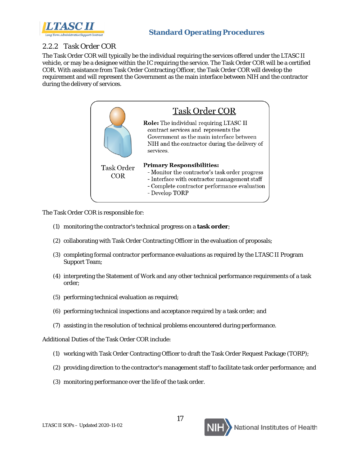

#### <span id="page-17-1"></span>*2.2.2 Task Order COR*

The Task Order COR will typically be the individual requiring the services offered under the LTASC II vehicle, or may be a designee within the IC requiring the service. The Task Order COR will be a certified COR. With assistance from Task Order Contracting Officer, the Task Order COR will develop the requirement and will represent the Government as the main interface between NIH and the contractor during the delivery of services.



The Task Order COR is responsible for:

- (1) monitoring the contractor's technical progress on a **task order**;
- (2) collaborating with Task Order Contracting Officer in the evaluation of proposals;
- (3) completing formal contractor performance evaluations as required by the LTASC II Program Support Team;
- (4) interpreting the Statement of Work and any other technical performance requirements of a task order;
- (5) performing technical evaluation as required;
- (6) performing technical inspections and acceptance required by a task order; and
- (7) assisting in the resolution of technical problems encountered during performance.

Additional Duties of the Task Order COR include:

- (1) working with Task Order Contracting Officer to draft the Task Order Request Package (TORP);
- (2) providing direction to the contractor's management staff to facilitate task order performance; and
- <span id="page-17-0"></span>(3) monitoring performance over the life of the task order.

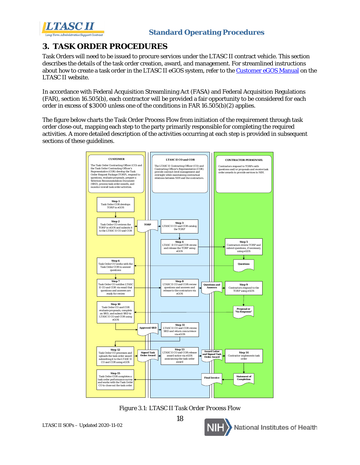

# <span id="page-18-0"></span>**3. TASK ORDER PROCEDURES**

Task Orders will need to be issued to procure services under the LTASC II contract vehicle. This section describes the details of the task order creation, award, and management. For streamlined instructions about how to create a task order in the LTASC II eGOS system, refer to the [Customer eGOS Manual](http://ltasc.od.nih.gov/LTASCII_Customer_eGOS_Manual.pdf) on the LTASC II website.

In accordance with Federal Acquisition Streamlining Act (FASA) and Federal Acquisition Regulations (FAR), section 16.505(b), each contractor will be provided a fair opportunity to be considered for each order in excess of \$3000 unless one of the conditions in FAR 16.505(b)(2) applies.

The figure below charts the Task Order Process Flow from initiation of the requirement through task order close-out, mapping each step to the party primarily responsible for completing the required activities. A more detailed description of the activities occurring at each step is provided in subsequent sections of these guidelines.



18 *Figure 3.1: LTASC II Task Order Process Flow*

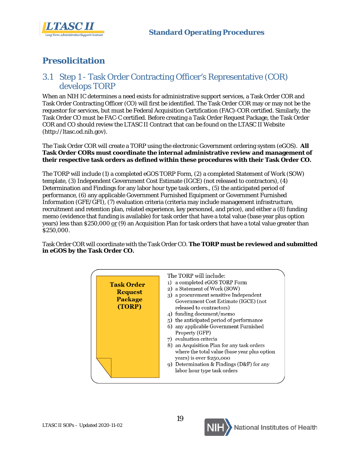



# <span id="page-19-0"></span>**Presolicitation**

# 3.1 Step 1 - Task Order Contracting Officer's Representative (COR) develops TORP

When an NIH IC determines a need exists for administrative support services, a Task Order COR and Task Order Contracting Officer (CO) will first be identified. The Task Order COR may or may not be the requestor for services, but must be Federal Acquisition Certification (FAC)-COR certified. Similarly, the Task Order CO must be FAC-C certified. Before creating a Task Order Request Package, the Task Order COR and CO should review the LTASC II Contract that can be found on the LTASC II Website (http://ltasc.od.nih.gov).

The Task Order COR will create a TORP using the electronic Government ordering system (eGOS). **All Task Order CORs must coordinate the internal administrative review and management of their respective task orders as defined within these procedures with their Task Order CO.**

The TORP will include (1) a completed eGOS TORP Form, (2) a completed Statement of Work (SOW) template, (3) Independent Government Cost Estimate (IGCE) (not released to contractors), (4) Determination and Findings for any labor hour type task orders., (5) the anticipated period of performance, (6) any applicable Government Furnished Equipment or Government Furnished Information (GFE/GFI), (7) evaluation criteria (criteria may include management infrastructure, recruitment and retention plan, related experience, key personnel, and price), and either a (8) funding memo (evidence that funding is available) for task order that have a total value (base year plus option years) less than \$250,000 or (9) an Acquisition Plan for task orders that have a total value greater than \$250,000.

Task Order COR will coordinate with the Task Order CO. **The TORP must be reviewed and submitted in eGOS by the Task Order CO.**



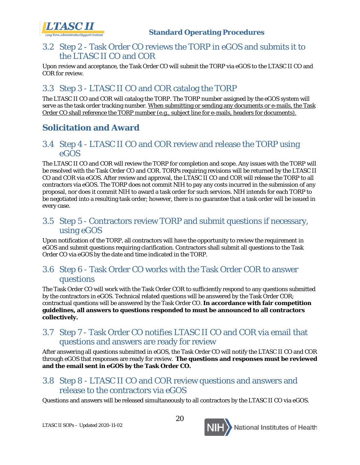

# <span id="page-20-0"></span>3.2 Step 2 - Task Order CO reviews the TORP in eGOS and submits it to the LTASC II CO and COR

Upon review and acceptance, the Task Order CO will submit the TORP via eGOS to the LTASC II CO and COR for review.

# <span id="page-20-1"></span>3.3 Step 3 - LTASC II CO and COR catalog the TORP

The LTASC II CO and COR will catalog the TORP. The TORP number assigned by the eGOS system will serve as the task order tracking number. When submitting or sending any documents or e-mails, the Task Order CO shall reference the TORP number (e.g., subject line for e-mails, headers for documents).

# <span id="page-20-2"></span>**Solicitation and Award**

### 3.4 Step 4 - LTASC II CO and COR review and release the TORP using eGOS

The LTASC II CO and COR will review the TORP for completion and scope. Any issues with the TORP will be resolved with the Task Order CO and COR. TORPs requiring revisions will be returned by the LTASC II CO and COR via eGOS. After review and approval, the LTASC II CO and COR will release the TORP to all contractors via eGOS. The TORP does not commit NIH to pay any costs incurred in the submission of any proposal, nor does it commit NIH to award a task order for such services. NIH intends for each TORP to be negotiated into a resulting task order; however, there is no guarantee that a task order will be issued in every case.

# <span id="page-20-3"></span>3.5 Step 5 - Contractors review TORP and submit questions if necessary, using eGOS

Upon notification of the TORP, all contractors will have the opportunity to review the requirement in eGOS and submit questions requiring clarification. Contractors shall submit all questions to the Task Order CO via eGOS by the date and time indicated in the TORP.

### <span id="page-20-4"></span>3.6 Step 6 - Task Order CO works with the Task Order COR to answer questions

The Task Order CO will work with the Task Order COR to sufficiently respond to any questions submitted by the contractors in eGOS. Technical related questions will be answered by the Task Order COR; contractual questions will be answered by the Task Order CO. **In accordance with fair competition guidelines, all answers to questions responded to must be announced to all contractors collectively.**

# <span id="page-20-5"></span>3.7 Step 7 - Task Order CO notifies LTASC II CO and COR via email that questions and answers are ready for review

After answering all questions submitted in eGOS, the Task Order CO will notify the LTASC II CO and COR through eGOS that responses are ready for review. **The questions and responses must be reviewed and the email sent in eGOS by the Task Order CO.**

# <span id="page-20-6"></span>3.8 Step 8 - LTASC II CO and COR review questions and answers and release to the contractors via eGOS

Questions and answers will be released simultaneously to all contractors by the LTASC II CO via eGOS.

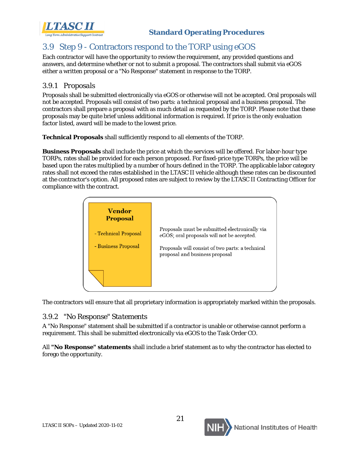

# <span id="page-21-0"></span>3.9 Step 9 - Contractors respond to the TORP using eGOS

Each contractor will have the opportunity to review the requirement, any provided questions and answers, and determine whether or not to submit a proposal. The contractors shall submit via eGOS either a written proposal or a "No Response" statement in response to the TORP.

#### <span id="page-21-1"></span>*3.9.1 Proposals*

Proposals shall be submitted electronically via eGOS or otherwise will not be accepted. Oral proposals will not be accepted. Proposals will consist of two parts: a technical proposal and a business proposal. The contractors shall prepare a proposal with as much detail as requested by the TORP. Please note that these proposals may be quite brief unless additional information is required. If price is the only evaluation factor listed, award will be made to the lowest price.

**Technical Proposals** shall sufficiently respond to all elements of the TORP.

**Business Proposals** shall include the price at which the services will be offered. For labor-hour type TORPs, rates shall be provided for each person proposed. For fixed-price type TORPs, the price will be based upon the rates multiplied by a number of hours defined in the TORP. The applicable labor category rates shall not exceed the rates established in the LTASC II vehicle although these rates can be discounted at the contractor's option. All proposed rates are subject to review by the LTASC II Contracting Officer for compliance with the contract.



The contractors will ensure that all proprietary information is appropriately marked within the proposals.

#### <span id="page-21-2"></span>*3.9.2 "No Response" Statements*

A "No Response" statement shall be submitted if a contractor is unable or otherwise cannot perform a requirement. This shall be submitted electronically via eGOS to the Task Order CO.

All **"No Response" statements** shall include a brief statement as to why the contractor has elected to forego the opportunity.

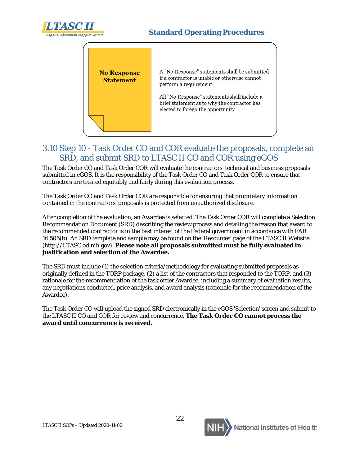



# <span id="page-22-0"></span>3.10 Step 10 - Task Order CO and COR evaluate the proposals, complete an SRD, and submit SRD to LTASC II CO and COR using eGOS

The Task Order CO and Task Order COR will evaluate the contractors' technical and business proposals submitted in eGOS. It is the responsibility of the Task Order CO and Task Order COR to ensure that contractors are treated equitably and fairly during this evaluation process.

The Task Order CO and Task Order COR are responsible for ensuring that proprietary information contained in the contractors' proposals is protected from unauthorized disclosure.

After completion of the evaluation, an Awardee is selected. The Task Order COR will complete a Selection Recommendation Document (SRD) describing the review process and detailing the reason that award to the recommended contractor is in the best interest of the Federal government in accordance with FAR 16.505(b). An SRD template and sample may be found on the 'Resources' page of the LTASC II Website (http://LTASC.od.nih.gov). **Please note all proposals submitted must be fully evaluated in justification and selection of the Awardee.** 

The SRD must include (1) the selection criteria/methodology for evaluating submitted proposals as originally defined in the TORP package, (2) a list of the contractors that responded to the TORP, and (3) rationale for the recommendation of the task order Awardee, including a summary of evaluation results, any negotiations conducted, price analysis, and award analysis (rationale for the recommendation of the Awardee).

The Task Order CO will upload the signed SRD electronically in the eGOS 'Selection' screen and submit to the LTASC II CO and COR for review and concurrence. **The Task Order CO cannot process the award until concurrence is received.**

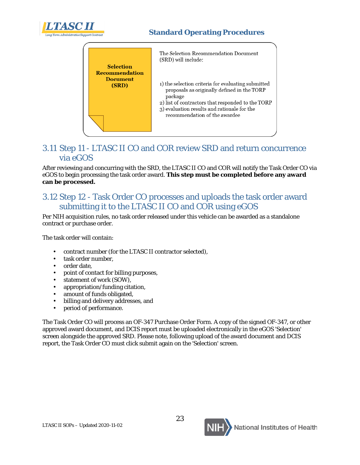



# <span id="page-23-0"></span>3.11 Step 11 - LTASC II CO and COR review SRD and return concurrence via eGOS

After reviewing and concurring with the SRD, the LTASC II CO and COR will notify the Task Order CO via eGOS to begin processing the task order award. **This step must be completed before any award can be processed.**

# <span id="page-23-1"></span>3.12 Step 12 - Task Order CO processes and uploads the task order award submitting it to the LTASC II CO and COR using eGOS

Per NIH acquisition rules, no task order released under this vehicle can be awarded as a standalone contract or purchase order.

The task order will contain:

- contract number (for the LTASC II contractor selected),
- task order number,
- order date.
- point of contact for billing purposes,
- statement of work (SOW),
- appropriation/funding citation,
- amount of funds obligated,
- billing and delivery addresses, and
- period of performance.

The Task Order CO will process an OF-347 Purchase Order Form. A copy of the signed OF-347, or other approved award document, and DCIS report must be uploaded electronically in the eGOS 'Selection' screen alongside the approved SRD. Please note, following upload of the award document and DCIS report, the Task Order CO must click submit again on the 'Selection' screen.

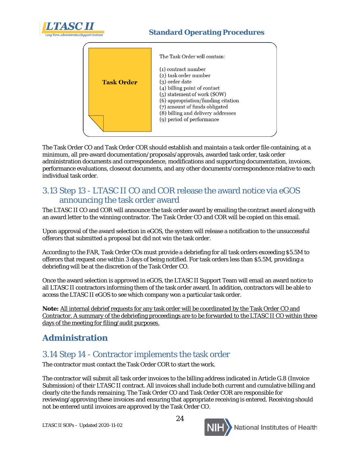



The Task Order CO and Task Order COR should establish and maintain a task order file containing, at a minimum, all pre-award documentation/proposals/approvals, awarded task order, task order administration documents and correspondence, modifications and supporting documentation, invoices, performance evaluations, closeout documents, and any other documents/correspondence relative to each individual task order.

# <span id="page-24-0"></span>3.13 Step 13 - LTASC II CO and COR release the award notice via eGOS announcing the task order award

The LTASC II CO and COR will announce the task order award by emailing the contract award along with an award letter to the winning contractor. The Task Order CO and COR will be copied on this email.

Upon approval of the award selection in eGOS, the system will release a notification to the unsuccessful offerors that submitted a proposal but did not win the task order.

According to the FAR, Task Order COs must provide a debriefing for all task orders exceeding \$5.5M to offerors that request one within 3 days of being notified. For task orders less than \$5.5M, providing a debriefing will be at the discretion of the Task Order CO.

Once the award selection is approved in eGOS, the LTASC II Support Team will email an award notice to all LTASC II contractors informing them of the task order award. In addition, contractors will be able to access the LTASC II eGOS to see which company won a particular task order.

**Note:** All internal debrief requests for any task order will be coordinated by the Task Order CO and Contractor. A summary of the debriefing proceedings are to be forwarded to the LTASC II CO within three days of the meeting for filing/audit purposes.

# <span id="page-24-1"></span>**Administration**

# 3.14 Step 14 - Contractor implements the task order

The contractor must contact the Task Order COR to start the work.

The contractor will submit all task order invoices to the billing address indicated in Article G.8 (Invoice Submission) of their LTASC II contract. All invoices shall include both current and cumulative billing and clearly cite the funds remaining. The Task Order CO and Task Order COR are responsible for reviewing/approving these invoices and ensuring that appropriate receiving is entered. Receiving should not be entered until invoices are approved by the Task Order CO.

24

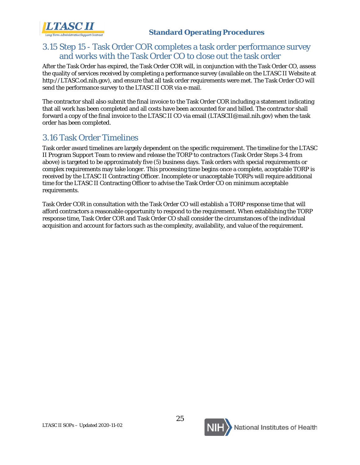LTASC II

# <span id="page-25-0"></span>3.15 Step 15 - Task Order COR completes a task order performance survey and works with the Task Order CO to close out the task order

After the Task Order has expired, the Task Order COR will, in conjunction with the Task Order CO, assess the quality of services received by completing a performance survey (available on the LTASC II Website at http://LTASC.od.nih.gov), and ensure that all task order requirements were met. The Task Order CO will send the performance survey to the LTASC II COR via e-mail.

The contractor shall also submit the final invoice to the Task Order COR including a statement indicating that all work has been completed and all costs have been accounted for and billed. The contractor shall forward a copy of the final invoice to the LTASC II CO via email (LTASCII@mail.nih.gov) when the task order has been completed.

# <span id="page-25-1"></span>3.16 Task Order Timelines

Task order award timelines are largely dependent on the specific requirement. The timeline for the LTASC II Program Support Team to review and release the TORP to contractors (Task Order Steps 3-4 from above) is targeted to be approximately five (5) business days. Task orders with special requirements or complex requirements may take longer. This processing time begins once a complete, acceptable TORP is received by the LTASC II Contracting Officer. Incomplete or unacceptable TORPs will require additional time for the LTASC II Contracting Officer to advise the Task Order CO on minimum acceptable requirements.

Task Order COR in consultation with the Task Order CO will establish a TORP response time that will afford contractors a reasonable opportunity to respond to the requirement. When establishing the TORP response time, Task Order COR and Task Order CO shall consider the circumstances of the individual acquisition and account for factors such as the complexity, availability, and value of the requirement.

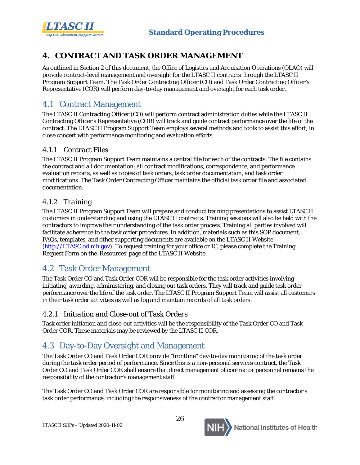



# <span id="page-26-0"></span>**4. CONTRACT AND TASK ORDER MANAGEMENT**

As outlined in Section 2 of this document, the Office of Logistics and Acquisition Operations (OLAO) will provide contract-level management and oversight for the LTASC II contracts through the LTASC II Program Support Team. The Task Order Contracting Officer (CO) and Task Order Contracting Officer's Representative (COR) will perform day-to-day management and oversight for each task order.

# <span id="page-26-1"></span>4.1 Contract Management

The LTASC II Contracting Officer (CO) will perform contract administration duties while the LTASC II Contracting Officer's Representative (COR) will track and guide contract performance over the life of the contract. The LTASC II Program Support Team employs several methods and tools to assist this effort, in close concert with performance monitoring and evaluation efforts.

#### <span id="page-26-2"></span>*4.1.1 Contract Files*

The LTASC II Program Support Team maintains a central file for each of the contracts. The file contains the contract and all documentation; all contract modifications, correspondence, and performance evaluation reports, as well as copies of task orders, task order documentation, and task order modifications. The Task Order Contracting Officer maintains the official task order file and associated documentation.

#### <span id="page-26-3"></span>*4.1.2 Training*

The LTASC II Program Support Team will prepare and conduct training presentations to assist LTASC II customers in understanding and using the LTASC II contracts. Training sessions will also be held with the contractors to improve their understanding of the task order process. Training all parties involved will facilitate adherence to the task order procedures. In addition, materials such as this SOP document, FAQs, templates, and other supporting documents are available on the LTASC II Website [\(http://LTASC.od.nih.gov\)](http://ltasc.od.nih.gov/). To request training for your office or IC, please complete the Training Request Form on the 'Resources' page of the LTASC II Website.

# <span id="page-26-4"></span>4.2 Task Order Management

The Task Order CO and Task Order COR will be responsible for the task order activities involving initiating, awarding, administering, and closing out task orders. They will track and guide task order performance over the life of the task order. The LTASC II Program Support Team will assist all customers in their task order activities as well as log and maintain records of all task orders.

#### <span id="page-26-5"></span>*4.2.1 Initiation and Close-out of Task Orders*

Task order initiation and close-out activities will be the responsibility of the Task Order CO and Task Order COR. These materials may be reviewed by the LTASC II COR.

# <span id="page-26-6"></span>4.3 Day-to-Day Oversight and Management

The Task Order CO and Task Order COR provide "frontline" day-to-day monitoring of the task order during the task order period of performance. Since this is a non-personal services contract, the Task Order CO and Task Order COR shall ensure that direct management of contractor personnel remains the responsibility of the contractor's management staff.

The Task Order CO and Task Order COR are responsible for monitoring and assessing the contractor's task order performance, including the responsiveness of the contractor management staff.